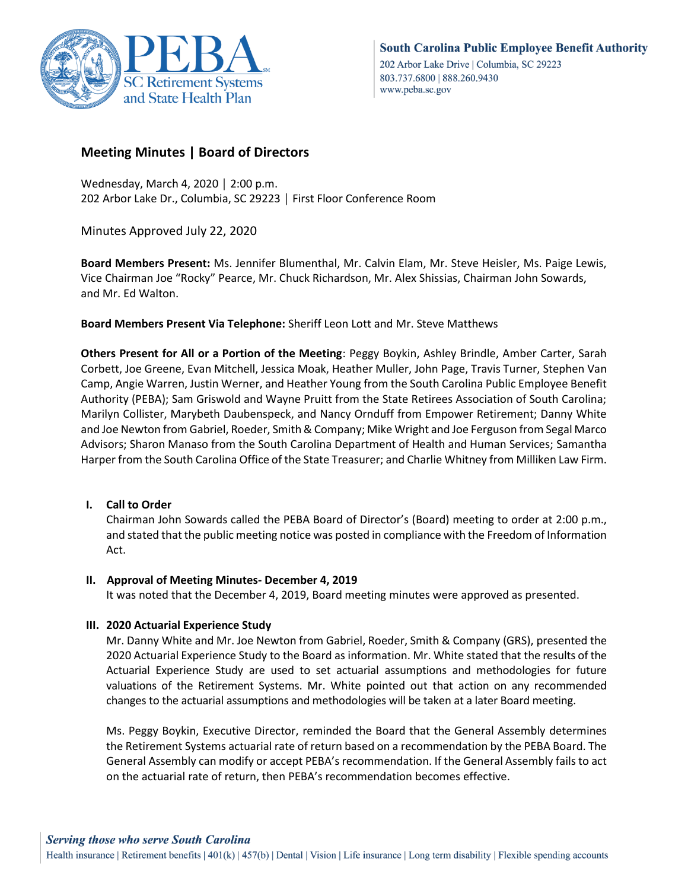

# **Meeting Minutes | Board of Directors**

Wednesday, March 4, 2020 │ 2:00 p.m. 202 Arbor Lake Dr., Columbia, SC 29223 │ First Floor Conference Room

Minutes Approved July 22, 2020

**Board Members Present:** Ms. Jennifer Blumenthal, Mr. Calvin Elam, Mr. Steve Heisler, Ms. Paige Lewis, Vice Chairman Joe "Rocky" Pearce, Mr. Chuck Richardson, Mr. Alex Shissias, Chairman John Sowards, and Mr. Ed Walton.

**Board Members Present Via Telephone:** Sheriff Leon Lott and Mr. Steve Matthews

**Others Present for All or a Portion of the Meeting**: Peggy Boykin, Ashley Brindle, Amber Carter, Sarah Corbett, Joe Greene, Evan Mitchell, Jessica Moak, Heather Muller, John Page, Travis Turner, Stephen Van Camp, Angie Warren, Justin Werner, and Heather Young from the South Carolina Public Employee Benefit Authority (PEBA); Sam Griswold and Wayne Pruitt from the State Retirees Association of South Carolina; Marilyn Collister, Marybeth Daubenspeck, and Nancy Ornduff from Empower Retirement; Danny White and Joe Newton from Gabriel, Roeder, Smith & Company; Mike Wright and Joe Ferguson from Segal Marco Advisors; Sharon Manaso from the South Carolina Department of Health and Human Services; Samantha Harper from the South Carolina Office of the State Treasurer; and Charlie Whitney from Milliken Law Firm.

# **I. Call to Order**

Chairman John Sowards called the PEBA Board of Director's (Board) meeting to order at 2:00 p.m., and stated that the public meeting notice was posted in compliance with the Freedom of Information Act.

# **II. Approval of Meeting Minutes- December 4, 2019**

It was noted that the December 4, 2019, Board meeting minutes were approved as presented.

# **III. 2020 Actuarial Experience Study**

Mr. Danny White and Mr. Joe Newton from Gabriel, Roeder, Smith & Company (GRS), presented the 2020 Actuarial Experience Study to the Board as information. Mr. White stated that the results of the Actuarial Experience Study are used to set actuarial assumptions and methodologies for future valuations of the Retirement Systems. Mr. White pointed out that action on any recommended changes to the actuarial assumptions and methodologies will be taken at a later Board meeting.

Ms. Peggy Boykin, Executive Director, reminded the Board that the General Assembly determines the Retirement Systems actuarial rate of return based on a recommendation by the PEBA Board. The General Assembly can modify or accept PEBA's recommendation. If the General Assembly fails to act on the actuarial rate of return, then PEBA's recommendation becomes effective.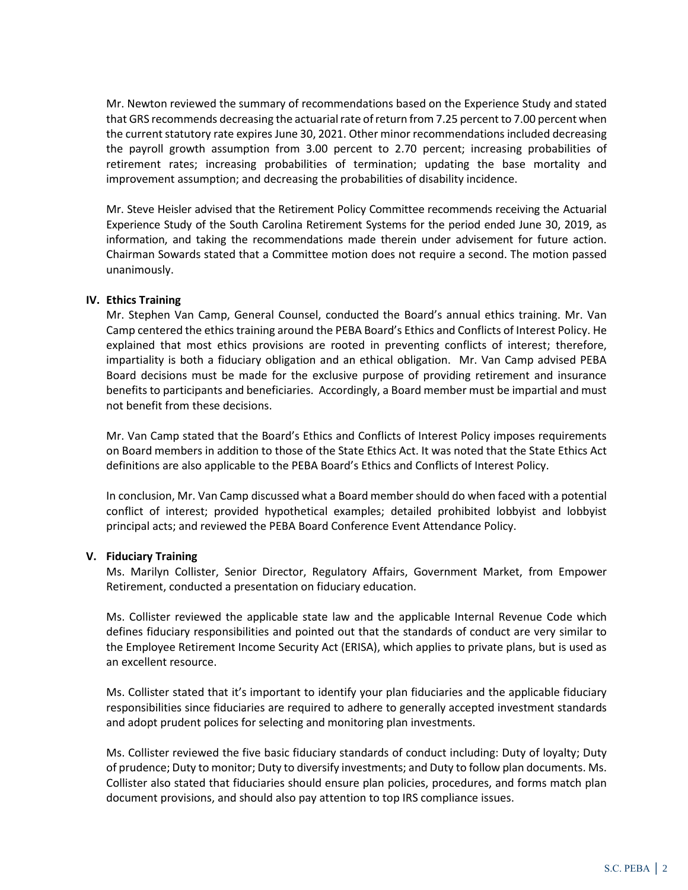Mr. Newton reviewed the summary of recommendations based on the Experience Study and stated that GRS recommends decreasing the actuarial rate of return from 7.25 percent to 7.00 percent when the current statutory rate expires June 30, 2021. Other minor recommendations included decreasing the payroll growth assumption from 3.00 percent to 2.70 percent; increasing probabilities of retirement rates; increasing probabilities of termination; updating the base mortality and improvement assumption; and decreasing the probabilities of disability incidence.

Mr. Steve Heisler advised that the Retirement Policy Committee recommends receiving the Actuarial Experience Study of the South Carolina Retirement Systems for the period ended June 30, 2019, as information, and taking the recommendations made therein under advisement for future action. Chairman Sowards stated that a Committee motion does not require a second. The motion passed unanimously.

## **IV. Ethics Training**

Mr. Stephen Van Camp, General Counsel, conducted the Board's annual ethics training. Mr. Van Camp centered the ethics training around the PEBA Board's Ethics and Conflicts of Interest Policy. He explained that most ethics provisions are rooted in preventing conflicts of interest; therefore, impartiality is both a fiduciary obligation and an ethical obligation. Mr. Van Camp advised PEBA Board decisions must be made for the exclusive purpose of providing retirement and insurance benefits to participants and beneficiaries. Accordingly, a Board member must be impartial and must not benefit from these decisions.

Mr. Van Camp stated that the Board's Ethics and Conflicts of Interest Policy imposes requirements on Board members in addition to those of the State Ethics Act. It was noted that the State Ethics Act definitions are also applicable to the PEBA Board's Ethics and Conflicts of Interest Policy.

In conclusion, Mr. Van Camp discussed what a Board member should do when faced with a potential conflict of interest; provided hypothetical examples; detailed prohibited lobbyist and lobbyist principal acts; and reviewed the PEBA Board Conference Event Attendance Policy.

#### **V. Fiduciary Training**

Ms. Marilyn Collister, Senior Director, Regulatory Affairs, Government Market, from Empower Retirement, conducted a presentation on fiduciary education.

Ms. Collister reviewed the applicable state law and the applicable Internal Revenue Code which defines fiduciary responsibilities and pointed out that the standards of conduct are very similar to the Employee Retirement Income Security Act (ERISA), which applies to private plans, but is used as an excellent resource.

Ms. Collister stated that it's important to identify your plan fiduciaries and the applicable fiduciary responsibilities since fiduciaries are required to adhere to generally accepted investment standards and adopt prudent polices for selecting and monitoring plan investments.

Ms. Collister reviewed the five basic fiduciary standards of conduct including: Duty of loyalty; Duty of prudence; Duty to monitor; Duty to diversify investments; and Duty to follow plan documents. Ms. Collister also stated that fiduciaries should ensure plan policies, procedures, and forms match plan document provisions, and should also pay attention to top IRS compliance issues.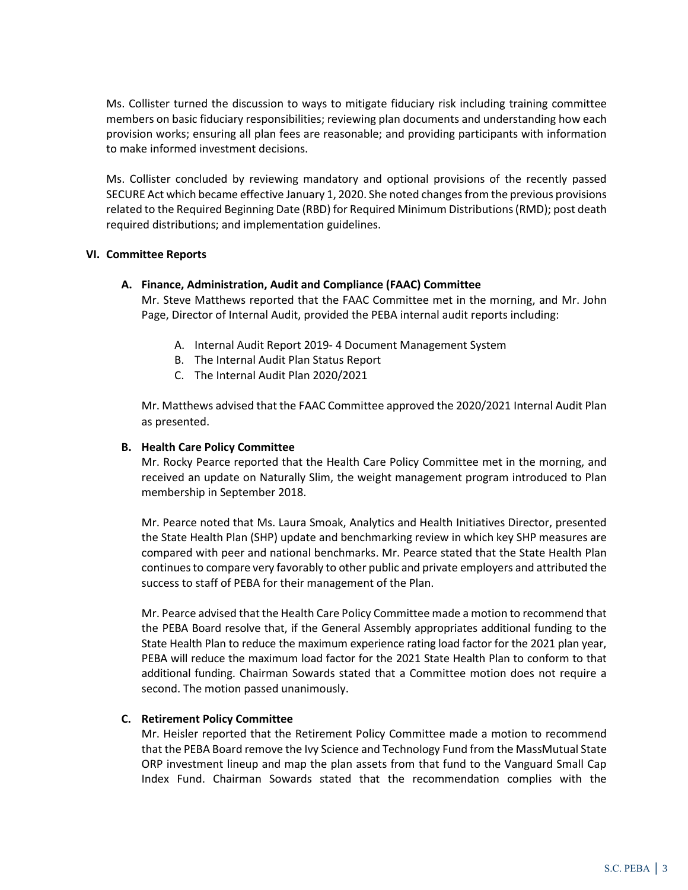Ms. Collister turned the discussion to ways to mitigate fiduciary risk including training committee members on basic fiduciary responsibilities; reviewing plan documents and understanding how each provision works; ensuring all plan fees are reasonable; and providing participants with information to make informed investment decisions.

Ms. Collister concluded by reviewing mandatory and optional provisions of the recently passed SECURE Act which became effective January 1, 2020. She noted changes from the previous provisions related to the Required Beginning Date (RBD) for Required Minimum Distributions (RMD); post death required distributions; and implementation guidelines.

## **VI. Committee Reports**

## **A. Finance, Administration, Audit and Compliance (FAAC) Committee**

Mr. Steve Matthews reported that the FAAC Committee met in the morning, and Mr. John Page, Director of Internal Audit, provided the PEBA internal audit reports including:

- A. Internal Audit Report 2019- 4 Document Management System
- B. The Internal Audit Plan Status Report
- C. The Internal Audit Plan 2020/2021

Mr. Matthews advised that the FAAC Committee approved the 2020/2021 Internal Audit Plan as presented.

### **B. Health Care Policy Committee**

Mr. Rocky Pearce reported that the Health Care Policy Committee met in the morning, and received an update on Naturally Slim, the weight management program introduced to Plan membership in September 2018.

Mr. Pearce noted that Ms. Laura Smoak, Analytics and Health Initiatives Director, presented the State Health Plan (SHP) update and benchmarking review in which key SHP measures are compared with peer and national benchmarks. Mr. Pearce stated that the State Health Plan continues to compare very favorably to other public and private employers and attributed the success to staff of PEBA for their management of the Plan.

Mr. Pearce advised that the Health Care Policy Committee made a motion to recommend that the PEBA Board resolve that, if the General Assembly appropriates additional funding to the State Health Plan to reduce the maximum experience rating load factor for the 2021 plan year, PEBA will reduce the maximum load factor for the 2021 State Health Plan to conform to that additional funding. Chairman Sowards stated that a Committee motion does not require a second. The motion passed unanimously.

# **C. Retirement Policy Committee**

Mr. Heisler reported that the Retirement Policy Committee made a motion to recommend that the PEBA Board remove the Ivy Science and Technology Fund from the MassMutual State ORP investment lineup and map the plan assets from that fund to the Vanguard Small Cap Index Fund. Chairman Sowards stated that the recommendation complies with the